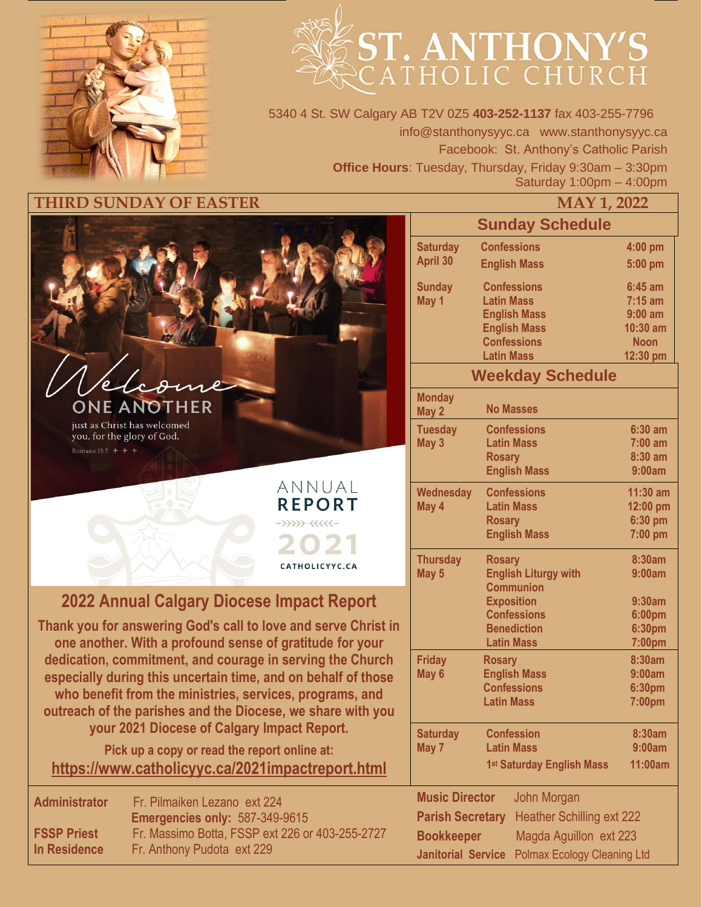

# **ST. ANTHONY'S**

5340 4 St. SW Calgary AB T2V 0Z5 **403-252-1137** fax 403-255-7796 info@stanthonysyyc.ca www.stanthonysyyc.ca Facebook: St. Anthony's Catholic Parish **Office Hours**: Tuesday, Thursday, Friday 9:30am – 3:30pm Saturday 1:00pm – 4:00pm

### **THIRD SUNDAY OF EASTER**



just as Christ has welcomed you, for the glory of God. Romans 15:7  $+ +$ 

# **2022 Annual Calgary Diocese Impact Report**

ANNUAL **REPORT**  $\leftrightarrow$ 

CATHOLICYYC.CA

**Thank you for answering God's call to love and serve Christ in one another. With a profound sense of gratitude for your dedication, commitment, and courage in serving the Church especially during this uncertain time, and on behalf of those who benefit from the ministries, services, programs, and outreach of the parishes and the Diocese, we share with you your 2021 Diocese of Calgary Impact Report.** 

**Pick up a copy or read the report online at: <https://www.catholicyyc.ca/2021impactreport.html>**

| <b>Administrator</b> | Fr. Pilmaiken Lezano ext 224                    |  |  |  |  |
|----------------------|-------------------------------------------------|--|--|--|--|
|                      | Emergencies only: 587-349-9615                  |  |  |  |  |
| <b>FSSP Priest</b>   | Fr. Massimo Botta, FSSP ext 226 or 403-255-2727 |  |  |  |  |
| In Residence         | Fr. Anthony Pudota ext 229                      |  |  |  |  |

|                                             |                             |                                        | MAY 1, 2022                               |                         |  |  |
|---------------------------------------------|-----------------------------|----------------------------------------|-------------------------------------------|-------------------------|--|--|
|                                             |                             |                                        | <b>Sunday Schedule</b>                    |                         |  |  |
|                                             | <b>Saturday</b>             |                                        | <b>Confessions</b>                        | 4:00 pm                 |  |  |
|                                             | April 30                    |                                        | <b>English Mass</b>                       | 5:00 pm                 |  |  |
|                                             | <b>Sunday</b>               |                                        | <b>Confessions</b>                        | $6:45$ am               |  |  |
|                                             | May 1                       | <b>Latin Mass</b>                      |                                           | $7:15$ am               |  |  |
|                                             |                             |                                        | <b>English Mass</b>                       | $9:00$ am               |  |  |
|                                             |                             |                                        | <b>English Mass</b>                       | 10:30 am                |  |  |
|                                             |                             |                                        | <b>Confessions</b>                        | <b>Noon</b><br>12:30 pm |  |  |
|                                             |                             | <b>Latin Mass</b>                      |                                           |                         |  |  |
|                                             |                             | <b>Weekday Schedule</b>                |                                           |                         |  |  |
|                                             | <b>Monday</b><br>May 2      |                                        | <b>No Masses</b>                          |                         |  |  |
|                                             | <b>Tuesday</b>              |                                        | <b>Confessions</b>                        | $6:30$ am               |  |  |
|                                             | May 3                       |                                        | <b>Latin Mass</b>                         | $7:00$ am               |  |  |
|                                             |                             | <b>Rosary</b>                          |                                           | 8:30 am                 |  |  |
|                                             |                             | <b>English Mass</b>                    | 9:00am                                    |                         |  |  |
|                                             | <b>Wednesday</b>            |                                        | <b>Confessions</b>                        | $11:30$ am              |  |  |
|                                             | May 4                       |                                        | <b>Latin Mass</b>                         | 12:00 pm                |  |  |
|                                             |                             | <b>Rosary</b>                          |                                           | 6:30 pm                 |  |  |
|                                             |                             |                                        | <b>English Mass</b>                       | 7:00 pm                 |  |  |
|                                             | <b>Thursday</b>             | <b>Rosary</b>                          |                                           | 8:30am                  |  |  |
|                                             | May 5                       |                                        | <b>English Liturgy with</b>               | 9:00am                  |  |  |
|                                             |                             |                                        | <b>Communion</b>                          |                         |  |  |
|                                             | <b>Exposition</b><br>9:30am |                                        |                                           |                         |  |  |
|                                             |                             |                                        | <b>Confessions</b>                        | 6:00pm                  |  |  |
|                                             |                             |                                        | <b>Benediction</b><br><b>Latin Mass</b>   | 6:30pm                  |  |  |
|                                             |                             |                                        |                                           | 7:00pm                  |  |  |
|                                             | <b>Friday</b>               | <b>Rosary</b>                          |                                           | 8:30am<br>9:00am        |  |  |
|                                             | May 6                       |                                        | <b>English Mass</b><br><b>Confessions</b> | 6:30pm                  |  |  |
|                                             |                             |                                        | <b>Latin Mass</b>                         | 7:00pm                  |  |  |
|                                             |                             |                                        |                                           |                         |  |  |
|                                             | <b>Saturday</b>             | <b>Confession</b><br><b>Latin Mass</b> |                                           | 8:30am                  |  |  |
|                                             | May 7                       |                                        |                                           | 9:00am                  |  |  |
|                                             |                             |                                        | 1st Saturday English Mass                 | 11:00am                 |  |  |
|                                             | <b>Music Director</b>       |                                        | John Morgan                               |                         |  |  |
|                                             | <b>Parish Secretary</b>     |                                        | <b>Heather Schilling ext 222</b>          |                         |  |  |
| Magda Aguillon ext 223<br><b>Bookkeeper</b> |                             |                                        |                                           |                         |  |  |
|                                             | <b>Janitorial Service</b>   |                                        | <b>Polmax Ecology Cleaning Ltd</b>        |                         |  |  |
|                                             |                             |                                        |                                           |                         |  |  |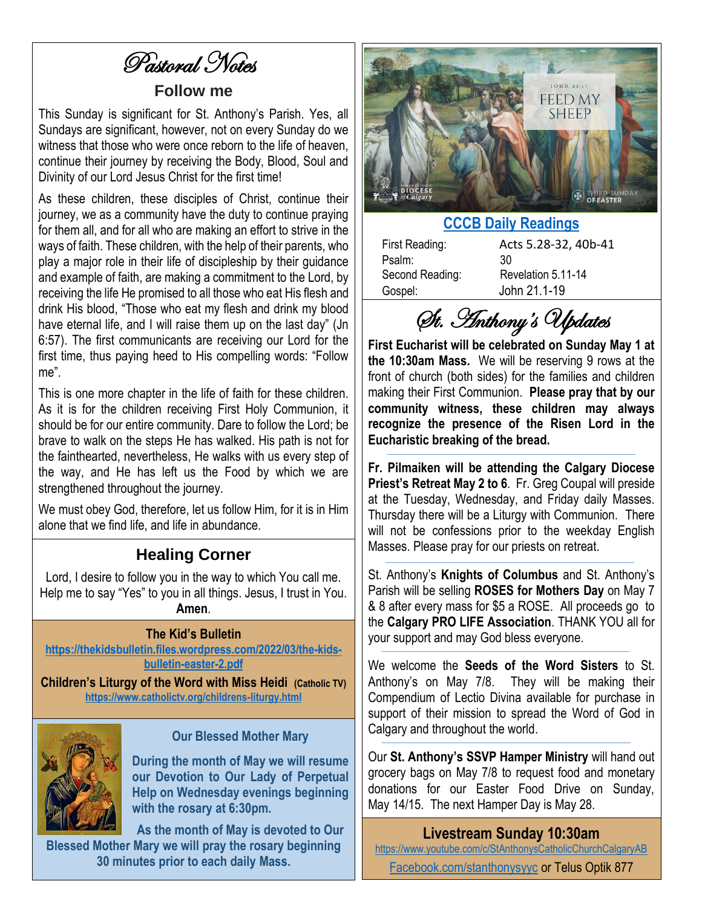# Pastoral Notes

## **Follow me**

This Sunday is significant for St. Anthony's Parish. Yes, all Sundays are significant, however, not on every Sunday do we witness that those who were once reborn to the life of heaven, continue their journey by receiving the Body, Blood, Soul and Divinity of our Lord Jesus Christ for the first time!

As these children, these disciples of Christ, continue their journey, we as a community have the duty to continue praying for them all, and for all who are making an effort to strive in the ways of faith. These children, with the help of their parents, who play a major role in their life of discipleship by their guidance and example of faith, are making a commitment to the Lord, by receiving the life He promised to all those who eat His flesh and drink His blood, "Those who eat my flesh and drink my blood have eternal life, and I will raise them up on the last day" (Jn 6:57). The first communicants are receiving our Lord for the first time, thus paying heed to His compelling words: "Follow me".

This is one more chapter in the life of faith for these children. As it is for the children receiving First Holy Communion, it should be for our entire community. Dare to follow the Lord; be brave to walk on the steps He has walked. His path is not for the fainthearted, nevertheless, He walks with us every step of the way, and He has left us the Food by which we are strengthened throughout the journey.

We must obey God, therefore, let us follow Him, for it is in Him alone that we find life, and life in abundance.

# **Healing Corner**

Lord, I desire to follow you in the way to which You call me. Help me to say "Yes" to you in all things. Jesus, I trust in You. **Amen**.

## **The Kid's Bulletin**

**[https://thekidsbulletin.files.wordpress.com/2022/03/the-kids](https://thekidsbulletin.files.wordpress.com/2022/03/the-kids-bulletin-easter-2.pdf)[bulletin-easter-2.pdf](https://thekidsbulletin.files.wordpress.com/2022/03/the-kids-bulletin-easter-2.pdf)**

**Children's Liturgy of the Word with Miss Heidi (Catholic TV) <https://www.catholictv.org/childrens-liturgy.html>**



## **Our Blessed Mother Mary**

**During the month of May we will resume our Devotion to Our Lady of Perpetual Help on Wednesday evenings beginning with the rosary at 6:30pm.**

**As the month of May is devoted to Our Blessed Mother Mary we will pray the rosary beginning 30 minutes prior to each daily Mass.**



# **[CCCB Daily Readings](http://ec2-34-245-7-114.eu-west-1.compute.amazonaws.com/daily-texts/reading/2022-04-24)**

| First Reading:  | Ac |
|-----------------|----|
| Psalm:          | 30 |
| Second Reading: | Re |
| Gospel:         | Jo |

Acts 5.28-32, 40b-41 Revelation 5.11-14 John 21.1-19

St. Anthony's Updates

**First Eucharist will be celebrated on Sunday May 1 at the 10:30am Mass.** We will be reserving 9 rows at the front of church (both sides) for the families and children making their First Communion. **Please pray that by our community witness, these children may always recognize the presence of the Risen Lord in the Eucharistic breaking of the bread.** 

**Fr. Pilmaiken will be attending the Calgary Diocese Priest's Retreat May 2 to 6**. Fr. Greg Coupal will preside at the Tuesday, Wednesday, and Friday daily Masses. Thursday there will be a Liturgy with Communion. There will not be confessions prior to the weekday English Masses. Please pray for our priests on retreat.

St. Anthony's **Knights of Columbus** and St. Anthony's Parish will be selling **ROSES for Mothers Day** on May 7 & 8 after every mass for \$5 a ROSE. All proceeds go to the **Calgary PRO LIFE Association**. THANK YOU all for your support and may God bless everyone.

We welcome the **Seeds of the Word Sisters** to St. Anthony's on May 7/8. They will be making their Compendium of Lectio Divina available for purchase in support of their mission to spread the Word of God in Calgary and throughout the world.

Our **St. Anthony's SSVP Hamper Ministry** will hand out grocery bags on May 7/8 to request food and monetary donations for our Easter Food Drive on Sunday, May 14/15. The next Hamper Day is May 28.

# **Livestream Sunday 10:30am**

<https://www.youtube.com/c/StAnthonysCatholicChurchCalgaryAB> [Facebook.com/stanthonysyyc](https://www.facebook.com/stanthonysyyc/) or Telus Optik 877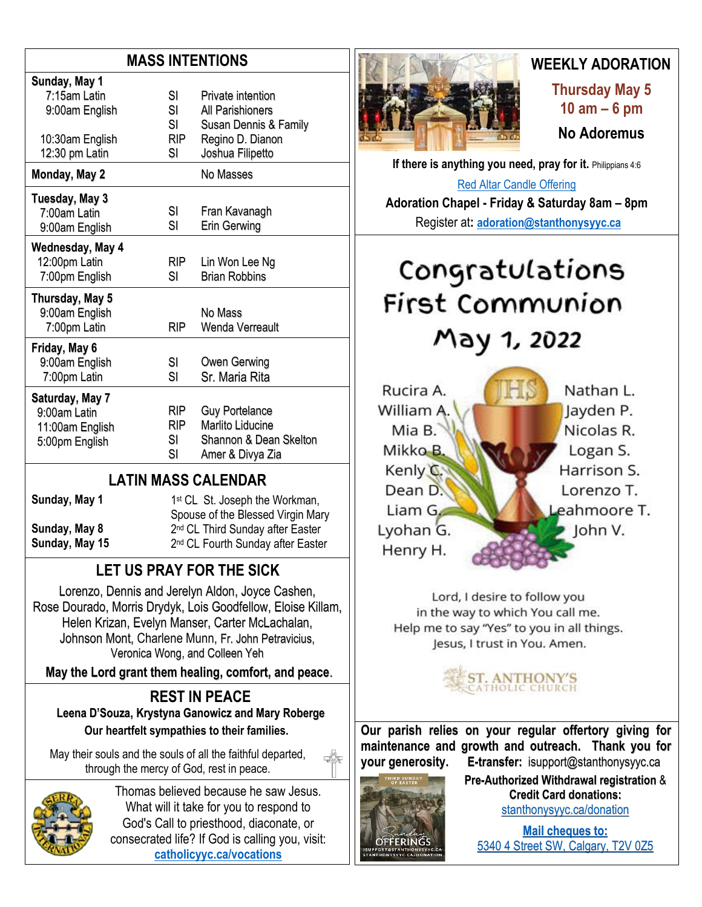# **MASS INTENTIONS**

| Sunday, May 1    |            |                        |
|------------------|------------|------------------------|
| 7:15am Latin     | SI         | Private intention      |
| 9:00am English   | SI         | All Parishioners       |
|                  | SI         | Susan Dennis & Family  |
| 10:30am English  | <b>RIP</b> | Regino D. Dianon       |
| 12:30 pm Latin   | SI         | Joshua Filipetto       |
| Monday, May 2    |            | No Masses              |
| Tuesday, May 3   |            |                        |
| 7:00am Latin     | SI         | Fran Kavanagh          |
| 9:00am English   | SI         | Erin Gerwing           |
| Wednesday, May 4 |            |                        |
| 12:00pm Latin    | RIP.       | Lin Won Lee Ng         |
| 7:00pm English   | SI         | <b>Brian Robbins</b>   |
| Thursday, May 5  |            |                        |
| 9:00am English   |            | No Mass                |
| 7:00pm Latin     | RIP        | Wenda Verreault        |
| Friday, May 6    |            |                        |
| 9:00am English   | SI         | Owen Gerwing           |
| 7:00pm Latin     | SI         | Sr. Maria Rita         |
| Saturday, May 7  |            |                        |
| 9:00am Latin     | RIP.       | <b>Guy Portelance</b>  |
| 11:00am English  | RIP        | Marlito Liducine       |
| 5:00pm English   | SI         | Shannon & Dean Skelton |
|                  | SI         | Amer & Divya Zia       |
|                  |            |                        |

# **LATIN MASS CALENDAR**

**Sunday, May 1 Sunday, May 8 Sunday, May 15**

1<sup>st</sup> CL St. Joseph the Workman, Spouse of the Blessed Virgin Mary 2<sup>nd</sup> CL Third Sunday after Easter 2<sup>nd</sup> CL Fourth Sunday after Easter

# **LET US PRAY FOR THE SICK**

Lorenzo, Dennis and Jerelyn Aldon, Joyce Cashen, Rose Dourado, Morris Drydyk, Lois Goodfellow, Eloise Killam, Helen Krizan, Evelyn Manser, Carter McLachalan, Johnson Mont, Charlene Munn, Fr. John Petravicius, Veronica Wong, and Colleen Yeh

**May the Lord grant them healing, comfort, and peace**.

### **REST IN PEACE Leena D'Souza, Krystyna Ganowicz and Mary Roberge**

**Our heartfelt sympathies to their families.**

May their souls and the souls of all the faithful departed, through the mercy of God, rest in peace.



Thomas believed because he saw Jesus. What will it take for you to respond to God's Call to priesthood, diaconate, or consecrated life? If God is calling you, visit: **[catholicyyc.ca/vocations](http://www.catholicyyc.ca/vocations)**



# **WEEKLY ADORATION**

**Thursday May 5 10 am – 6 pm No Adoremus** 

**If there is anything you need, pray for it. Philippians 4:6** [Red Altar Candle Offering](https://stanthonysyyc.ca/wp-content/uploads/2020/10/RED-ALTAR-CANDLE-OFFERING.pdf)

**Adoration Chapel - Friday & Saturday 8am – 8pm**  Register at**: [adoration@stanthonysyyc.ca](mailto:adoration@stanthonysyyc.ca)**

# Congratulations First Communion May 1, 2022



Lord, I desire to follow you in the way to which You call me. Help me to say "Yes" to you in all things. Jesus, I trust in You. Amen.

**ANTHONY'S**<br>HOLIC CHURCH

**Our parish relies on your regular offertory giving for maintenance and growth and outreach. Thank you for your generosity. E-transfer:** isupport@stanthonysyyc.ca



**Pre-Authorized Withdrawal registration** & **Credit Card donations:** [stanthonysyyc.ca/donation](https://stanthonysyyc.ca/donation/)

**Mail cheques to:** 5340 4 Street SW, Calgary, T2V 0Z5